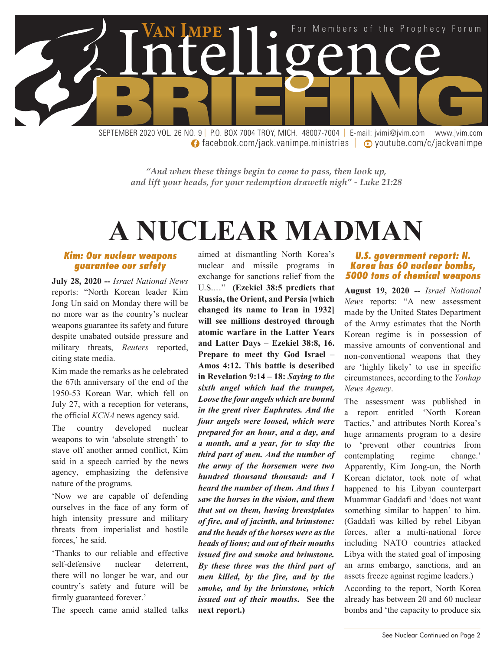

**facebook.com/jack.vanimpe.ministries | D** youtube.com/c/jackvanimpe

*"And when these things begin to come to pass, then look up, and lift your heads, for your redemption draweth nigh" - Luke 21:28*

## **A NUCLEAR MADMAN**

#### *Kim: Our nuclear weapons guarantee our safety*

**July 28, 2020 --** *Israel National News* reports: "North Korean leader Kim Jong Un said on Monday there will be no more war as the country's nuclear weapons guarantee its safety and future despite unabated outside pressure and military threats, *Reuters* reported, citing state media.

Kim made the remarks as he celebrated the 67th anniversary of the end of the 1950-53 Korean War, which fell on July 27, with a reception for veterans, the official *KCNA* news agency said.

The country developed nuclear weapons to win 'absolute strength' to stave off another armed conflict, Kim said in a speech carried by the news agency, emphasizing the defensive nature of the programs.

'Now we are capable of defending ourselves in the face of any form of high intensity pressure and military threats from imperialist and hostile forces,' he said.

'Thanks to our reliable and effective self-defensive nuclear deterrent, there will no longer be war, and our country's safety and future will be firmly guaranteed forever.'

The speech came amid stalled talks

aimed at dismantling North Korea's nuclear and missile programs in exchange for sanctions relief from the U.S.…" **(Ezekiel 38:5 predicts that Russia, the Orient, and Persia [which changed its name to Iran in 1932] will see millions destroyed through atomic warfare in the Latter Years and Latter Days – Ezekiel 38:8, 16. Prepare to meet thy God Israel – Amos 4:12. This battle is described in Revelation 9:14 – 18:** *Saying to the sixth angel which had the trumpet, Loose the four angels which are bound in the great river Euphrates. And the four angels were loosed, which were prepared for an hour, and a day, and a month, and a year, for to slay the third part of men. And the number of the army of the horsemen were two hundred thousand thousand: and I heard the number of them. And thus I saw the horses in the vision, and them that sat on them, having breastplates of fire, and of jacinth, and brimstone: and the heads of the horses were as the heads of lions; and out of their mouths issued fire and smoke and brimstone. By these three was the third part of men killed, by the fire, and by the smoke, and by the brimstone, which issued out of their mouths***. See the next report.)**

#### *U.S. government report: N. Korea has 60 nuclear bombs, 5000 tons of chemical weapons*

**August 19, 2020 --** *Israel National News* reports: "A new assessment made by the United States Department of the Army estimates that the North Korean regime is in possession of massive amounts of conventional and non-conventional weapons that they are 'highly likely' to use in specific circumstances, according to the *Yonhap News Agency*.

The assessment was published in a report entitled 'North Korean Tactics,' and attributes North Korea's huge armaments program to a desire to 'prevent other countries from contemplating regime change.' Apparently, Kim Jong-un, the North Korean dictator, took note of what happened to his Libyan counterpart Muammar Gaddafi and 'does not want something similar to happen' to him. (Gaddafi was killed by rebel Libyan forces, after a multi-national force including NATO countries attacked Libya with the stated goal of imposing an arms embargo, sanctions, and an assets freeze against regime leaders.)

According to the report, North Korea already has between 20 and 60 nuclear bombs and 'the capacity to produce six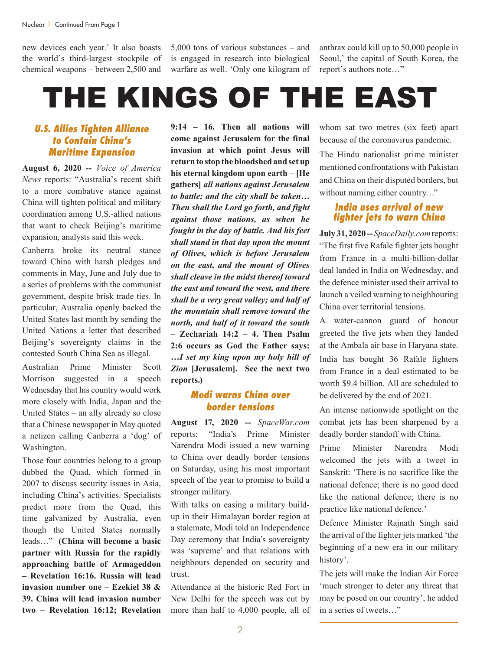new devices each year.' It also boasts the world's third-largest stockpile of chemical weapons – between 2,500 and 5,000 tons of various substances – and is engaged in research into biological warfare as well. 'Only one kilogram of

anthrax could kill up to 50,000 people in Seoul,' the capital of South Korea, the report's authors note…"

# THE KINGS OF THE EAST

#### *U.S. Allies Tighten Alliance to Contain China's Maritime Expansion*

**August 6, 2020 --** *Voice of America News* reports: "Australia's recent shift to a more combative stance against China will tighten political and military coordination among U.S.-allied nations that want to check Beijing's maritime expansion, analysts said this week.

Canberra broke its neutral stance toward China with harsh pledges and comments in May, June and July due to a series of problems with the communist government, despite brisk trade ties. In particular, Australia openly backed the United States last month by sending the United Nations a letter that described Beijing's sovereignty claims in the contested South China Sea as illegal.

Australian Prime Minister Scott Morrison suggested in a speech Wednesday that his country would work more closely with India, Japan and the United States – an ally already so close that a Chinese newspaper in May quoted a netizen calling Canberra a 'dog' of Washington.

Those four countries belong to a group dubbed the Quad, which formed in 2007 to discuss security issues in Asia, including China's activities. Specialists predict more from the Quad, this time galvanized by Australia, even though the United States normally leads…" **(China will become a basic partner with Russia for the rapidly approaching battle of Armageddon – Revelation 16:16. Russia will lead invasion number one – Ezekiel 38 & 39. China will lead invasion number two – Revelation 16:12; Revelation** 

**9:14 – 16. Then all nations will come against Jerusalem for the final invasion at which point Jesus will return to stop the bloodshed and set up his eternal kingdom upon earth – [He gathers]** *all nations against Jerusalem to battle; and the city shall be taken… Then shall the Lord go forth, and fight against those nations, as when he fought in the day of battle. And his feet shall stand in that day upon the mount of Olives, which is before Jerusalem on the east, and the mount of Olives shall cleave in the midst thereof toward the east and toward the west, and there shall be a very great valley; and half of the mountain shall remove toward the north, and half of it toward the south* **– Zechariah 14:2 – 4. Then Psalm 2:6 occurs as God the Father says: …***I set my king upon my holy hill of Zion* **[Jerusalem]. See the next two reports.)**

#### *Modi warns China over border tensions*

**August 17, 2020 --** *SpaceWar.com* reports: "India's Prime Minister Narendra Modi issued a new warning to China over deadly border tensions on Saturday, using his most important speech of the year to promise to build a stronger military.

With talks on easing a military buildup in their Himalayan border region at a stalemate, Modi told an Independence Day ceremony that India's sovereignty was 'supreme' and that relations with neighbours depended on security and trust.

Attendance at the historic Red Fort in New Delhi for the speech was cut by more than half to 4,000 people, all of

whom sat two metres (six feet) apart because of the coronavirus pandemic.

The Hindu nationalist prime minister mentioned confrontations with Pakistan and China on their disputed borders, but without naming either country…"

#### *India uses arrival of new fighter jets to warn China*

**July 31, 2020 --***SpaceDaily.com* reports: "The first five Rafale fighter jets bought from France in a multi-billion-dollar deal landed in India on Wednesday, and the defence minister used their arrival to launch a veiled warning to neighbouring China over territorial tensions.

A water-cannon guard of honour greeted the five jets when they landed at the Ambala air base in Haryana state. India has bought 36 Rafale fighters from France in a deal estimated to be worth \$9.4 billion. All are scheduled to be delivered by the end of 2021.

An intense nationwide spotlight on the combat jets has been sharpened by a deadly border standoff with China.

Prime Minister Narendra Modi welcomed the jets with a tweet in Sanskrit: 'There is no sacrifice like the national defence; there is no good deed like the national defence; there is no practice like national defence.'

Defence Minister Rajnath Singh said the arrival of the fighter jets marked 'the beginning of a new era in our military history'.

The jets will make the Indian Air Force 'much stronger to deter any threat that may be posed on our country', he added in a series of tweets…"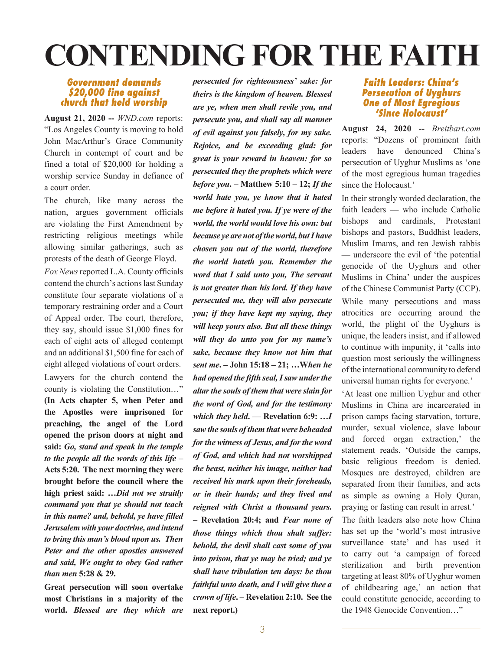# **CONTENDING FOR THE FAITH**

#### *Government demands \$20,000 fine against church that held worship*

**August 21, 2020 --** *WND.com* reports: "Los Angeles County is moving to hold John MacArthur's Grace Community Church in contempt of court and be fined a total of \$20,000 for holding a worship service Sunday in defiance of a court order.

The church, like many across the nation, argues government officials are violating the First Amendment by restricting religious meetings while allowing similar gatherings, such as protests of the death of George Floyd.

*Fox News* reported L.A. County officials contend the church's actions last Sunday constitute four separate violations of a temporary restraining order and a Court of Appeal order. The court, therefore, they say, should issue \$1,000 fines for each of eight acts of alleged contempt and an additional \$1,500 fine for each of eight alleged violations of court orders. Lawyers for the church contend the county is violating the Constitution…" **(In Acts chapter 5, when Peter and the Apostles were imprisoned for preaching, the angel of the Lord opened the prison doors at night and said:** *Go, stand and speak in the temple to the people all the words of this life* **– Acts 5:20. The next morning they were brought before the council where the high priest said: …***Did not we straitly command you that ye should not teach in this name? and, behold, ye have filled Jerusalem with your doctrine, and intend to bring this man's blood upon us. Then Peter and the other apostles answered and said, We ought to obey God rather than men* **5:28 & 29.**

**Great persecution will soon overtake most Christians in a majority of the world.** *Blessed are they which are* 

*persecuted for righteousness' sake: for theirs is the kingdom of heaven. Blessed are ye, when men shall revile you, and persecute you, and shall say all manner of evil against you falsely, for my sake. Rejoice, and be exceeding glad: for great is your reward in heaven: for so persecuted they the prophets which were before you***. – Matthew 5:10 – 12;** *If the world hate you, ye know that it hated me before it hated you. If ye were of the world, the world would love his own: but because ye are not of the world, but I have chosen you out of the world, therefore the world hateth you. Remember the word that I said unto you, The servant is not greater than his lord. If they have persecuted me, they will also persecute you; if they have kept my saying, they will keep yours also. But all these things will they do unto you for my name's sake, because they know not him that sent me***. – John 15:18 – 21; …W***hen he had opened the fifth seal, I saw under the altar the souls of them that were slain for the word of God, and for the testimony which they held***. — Revelation 6:9: …***I saw the souls of them that were beheaded for the witness of Jesus, and for the word of God, and which had not worshipped the beast, neither his image, neither had received his mark upon their foreheads, or in their hands; and they lived and reigned with Christ a thousand years***. – Revelation 20:4; and** *Fear none of those things which thou shalt suffer: behold, the devil shall cast some of you into prison, that ye may be tried; and ye shall have tribulation ten days: be thou faithful unto death, and I will give thee a crown of life***. – Revelation 2:10. See the next report.)**

#### *Faith Leaders: China's Persecution of Uyghurs One of Most Egregious 'Since Holocaust'*

**August 24, 2020 --** *Breitbart.com* reports: "Dozens of prominent faith leaders have denounced China's persecution of Uyghur Muslims as 'one of the most egregious human tragedies since the Holocaust.'

In their strongly worded declaration, the faith leaders — who include Catholic bishops and cardinals, Protestant bishops and pastors, Buddhist leaders, Muslim Imams, and ten Jewish rabbis — underscore the evil of 'the potential genocide of the Uyghurs and other Muslims in China' under the auspices of the Chinese Communist Party (CCP). While many persecutions and mass atrocities are occurring around the world, the plight of the Uyghurs is unique, the leaders insist, and if allowed to continue with impunity, it 'calls into question most seriously the willingness of the international community to defend universal human rights for everyone.'

'At least one million Uyghur and other Muslims in China are incarcerated in prison camps facing starvation, torture, murder, sexual violence, slave labour and forced organ extraction,' the statement reads. 'Outside the camps, basic religious freedom is denied. Mosques are destroyed, children are separated from their families, and acts as simple as owning a Holy Quran, praying or fasting can result in arrest.'

The faith leaders also note how China has set up the 'world's most intrusive surveillance state' and has used it to carry out 'a campaign of forced sterilization and birth prevention targeting at least 80% of Uyghur women of childbearing age,' an action that could constitute genocide, according to the 1948 Genocide Convention…"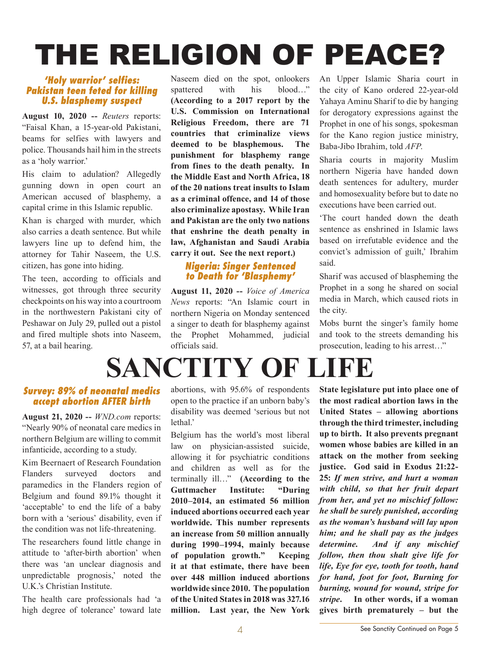# THE RELIGION OF PEACE?

#### *'Holy warrior' selfies: Pakistan teen feted for killing U.S. blasphemy suspect*

**August 10, 2020 --** *Reuters* reports: "Faisal Khan, a 15-year-old Pakistani, beams for selfies with lawyers and police. Thousands hail him in the streets as a 'holy warrior.'

His claim to adulation? Allegedly gunning down in open court an American accused of blasphemy, a capital crime in this Islamic republic.

Khan is charged with murder, which also carries a death sentence. But while lawyers line up to defend him, the attorney for Tahir Naseem, the U.S. citizen, has gone into hiding.

The teen, according to officials and witnesses, got through three security checkpoints on his way into a courtroom in the northwestern Pakistani city of Peshawar on July 29, pulled out a pistol and fired multiple shots into Naseem, 57, at a bail hearing.

Naseem died on the spot, onlookers spattered with his blood…" **(According to a 2017 report by the U.S. Commission on International Religious Freedom, there are 71 countries that criminalize views deemed to be blasphemous. The punishment for blasphemy range from fines to the death penalty. In the Middle East and North Africa, 18 of the 20 nations treat insults to Islam as a criminal offence, and 14 of those also criminalize apostasy. While Iran and Pakistan are the only two nations that enshrine the death penalty in law, Afghanistan and Saudi Arabia carry it out. See the next report.)**

#### *Nigeria: Singer Sentenced to Death for 'Blasphemy'*

**August 11, 2020 --** *Voice of America News* reports: "An Islamic court in northern Nigeria on Monday sentenced a singer to death for blasphemy against the Prophet Mohammed, judicial officials said.

An Upper Islamic Sharia court in the city of Kano ordered 22-year-old Yahaya Aminu Sharif to die by hanging for derogatory expressions against the Prophet in one of his songs, spokesman for the Kano region justice ministry, Baba-Jibo Ibrahim, told *AFP*.

Sharia courts in majority Muslim northern Nigeria have handed down death sentences for adultery, murder and homosexuality before but to date no executions have been carried out.

'The court handed down the death sentence as enshrined in Islamic laws based on irrefutable evidence and the convict's admission of guilt,' Ibrahim said.

Sharif was accused of blaspheming the Prophet in a song he shared on social media in March, which caused riots in the city.

Mobs burnt the singer's family home and took to the streets demanding his prosecution, leading to his arrest…"

## **SANCTITY OF LIFE**

#### *Survey: 89% of neonatal medics accept abortion AFTER birth*

**August 21, 2020 --** *WND.com* reports: "Nearly 90% of neonatal care medics in northern Belgium are willing to commit infanticide, according to a study.

Kim Beernaert of Research Foundation Flanders surveyed doctors and paramedics in the Flanders region of Belgium and found 89.1% thought it 'acceptable' to end the life of a baby born with a 'serious' disability, even if the condition was not life-threatening.

The researchers found little change in attitude to 'after-birth abortion' when there was 'an unclear diagnosis and unpredictable prognosis,' noted the U.K.'s Christian Institute.

The health care professionals had 'a high degree of tolerance' toward late abortions, with 95.6% of respondents open to the practice if an unborn baby's disability was deemed 'serious but not lethal<sup>'</sup>

Belgium has the world's most liberal law on physician-assisted suicide, allowing it for psychiatric conditions and children as well as for the terminally ill…" **(According to the Guttmacher Institute: "During 2010–2014, an estimated 56 million induced abortions occurred each year worldwide. This number represents an increase from 50 million annually during 1990–1994, mainly because of population growth***.***" Keeping it at that estimate, there have been over 448 million induced abortions worldwide since 2010. The population of the United States in 2018 was 327.16 million. Last year, the New York** 

**State legislature put into place one of the most radical abortion laws in the United States – allowing abortions through the third trimester, including up to birth. It also prevents pregnant women whose babies are killed in an attack on the mother from seeking justice. God said in Exodus 21:22- 25:** *If men strive, and hurt a woman with child, so that her fruit depart from her, and yet no mischief follow: he shall be surely punished, according as the woman's husband will lay upon him; and he shall pay as the judges determine. And if any mischief follow, then thou shalt give life for life, Eye for eye, tooth for tooth, hand for hand, foot for foot, Burning for burning, wound for wound, stripe for stripe***. In other words, if a woman gives birth prematurely – but the**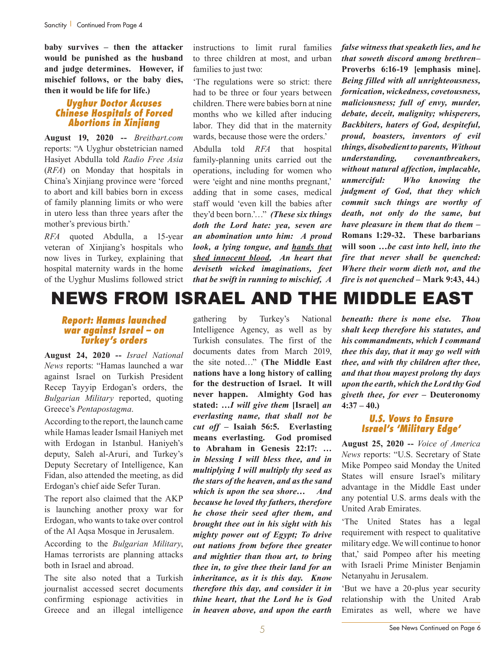**baby survives – then the attacker would be punished as the husband and judge determines. However, if mischief follows, or the baby dies, then it would be life for life.)**

#### *Uyghur Doctor Accuses Chinese Hospitals of Forced Abortions in Xinjiang*

**August 19, 2020 --** *Breitbart.com* reports: "A Uyghur obstetrician named Hasiyet Abdulla told *Radio Free Asia* (*RFA*) on Monday that hospitals in China's Xinjiang province were 'forced to abort and kill babies born in excess of family planning limits or who were in utero less than three years after the mother's previous birth.'

*RFA* quoted Abdulla, a 15-year veteran of Xinjiang's hospitals who now lives in Turkey, explaining that hospital maternity wards in the home of the Uyghur Muslims followed strict instructions to limit rural families to three children at most, and urban families to just two:

'The regulations were so strict: there had to be three or four years between children. There were babies born at nine months who we killed after inducing labor. They did that in the maternity wards, because those were the orders.'

Abdulla told *RFA* that hospital family-planning units carried out the operations, including for women who were 'eight and nine months pregnant,' adding that in some cases, medical staff would 'even kill the babies after they'd been born.'…" *(These six things doth the Lord hate: yea, seven are an abomination unto him: A proud look, a lying tongue, and hands that shed innocent blood, An heart that deviseth wicked imaginations, feet that be swift in running to mischief, A* 

*false witness that speaketh lies, and he that soweth discord among brethren***– Proverbs 6:16-19 [emphasis mine].** *Being filled with all unrighteousness, fornication, wickedness, covetousness, maliciousness; full of envy, murder, debate, deceit, malignity; whisperers, Backbiters, haters of God, despiteful, proud, boasters, inventors of evil things, disobedient to parents, Without understanding, covenantbreakers, without natural affection, implacable, unmerciful: Who knowing the judgment of God, that they which commit such things are worthy of death, not only do the same, but have pleasure in them that do them* **– Romans 1:29-32. These barbarians will soon …***be cast into hell, into the fire that never shall be quenched: Where their worm dieth not, and the fire is not quenched* **– Mark 9:43, 44.)**

### NEWS FROM ISRAEL AND THE MIDDLE EAST

#### *Report: Hamas launched war against Israel – on Turkey's orders*

**August 24, 2020 --** *Israel National News* reports: "Hamas launched a war against Israel on Turkish President Recep Tayyip Erdogan's orders, the *Bulgarian Military* reported, quoting Greece's *Pentapostagma*.

According to the report, the launch came while Hamas leader Ismail Haniyeh met with Erdogan in Istanbul. Haniyeh's deputy, Saleh al-Aruri, and Turkey's Deputy Secretary of Intelligence, Kan Fidan, also attended the meeting, as did Erdogan's chief aide Sefer Turan.

The report also claimed that the AKP is launching another proxy war for Erdogan, who wants to take over control of the Al Aqsa Mosque in Jerusalem.

According to the *Bulgarian Military*, Hamas terrorists are planning attacks both in Israel and abroad.

The site also noted that a Turkish journalist accessed secret documents confirming espionage activities in Greece and an illegal intelligence gathering by Turkey's National Intelligence Agency, as well as by Turkish consulates. The first of the documents dates from March 2019, the site noted…" **(The Middle East nations have a long history of calling for the destruction of Israel. It will never happen. Almighty God has stated: …***I will give them* **[Israel]** *an everlasting name, that shall not be cut off –* **Isaiah 56:5. Everlasting means everlasting. God promised to Abraham in Genesis 22:17:** *… in blessing I will bless thee, and in multiplying I will multiply thy seed as the stars of the heaven, and as the sand which is upon the sea shore…**And because he loved thy fathers, therefore he chose their seed after them, and brought thee out in his sight with his mighty power out of Egypt; To drive out nations from before thee greater and mightier than thou art, to bring thee in, to give thee their land for an inheritance, as it is this day. Know therefore this day, and consider it in thine heart, that the Lord he is God in heaven above, and upon the earth* 

*beneath: there is none else. Thou shalt keep therefore his statutes, and his commandments, which I command thee this day, that it may go well with thee, and with thy children after thee, and that thou mayest prolong thy days upon the earth, which the Lord thy God giveth thee, for ever* **– Deuteronomy 4:37 – 40.)**

#### *U.S. Vows to Ensure Israel's 'Military Edge'*

**August 25, 2020 --** *Voice of America News* reports: "U.S. Secretary of State Mike Pompeo said Monday the United States will ensure Israel's military advantage in the Middle East under any potential U.S. arms deals with the United Arab Emirates.

'The United States has a legal requirement with respect to qualitative military edge. We will continue to honor that,' said Pompeo after his meeting with Israeli Prime Minister Benjamin Netanyahu in Jerusalem.

'But we have a 20-plus year security relationship with the United Arab Emirates as well, where we have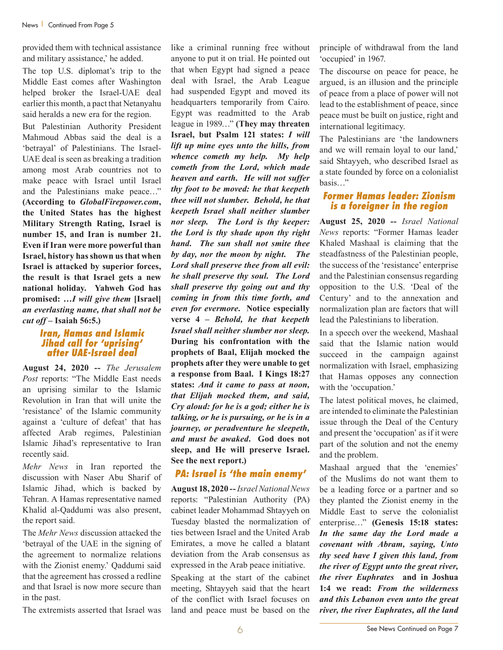provided them with technical assistance and military assistance,' he added.

The top U.S. diplomat's trip to the Middle East comes after Washington helped broker the Israel-UAE deal earlier this month, a pact that Netanyahu said heralds a new era for the region.

But Palestinian Authority President Mahmoud Abbas said the deal is a 'betrayal' of Palestinians. The Israel-UAE deal is seen as breaking a tradition among most Arab countries not to make peace with Israel until Israel and the Palestinians make peace…" **(According to** *GlobalFirepower.com***, the United States has the highest Military Strength Rating, Israel is number 15, and Iran is number 21. Even if Iran were more powerful than Israel, history has shown us that when Israel is attacked by superior forces, the result is that Israel gets a new national holiday. Yahweh God has promised:** *…I will give them* **[Israel]**  *an everlasting name, that shall not be cut off* **– Isaiah 56:5.)**

#### *Iran, Hamas and Islamic Jihad call for 'uprising' after UAE-Israel deal*

**August 24, 2020 --** *The Jerusalem Post* reports: "The Middle East needs an uprising similar to the Islamic Revolution in Iran that will unite the 'resistance' of the Islamic community against a 'culture of defeat' that has affected Arab regimes, Palestinian Islamic Jihad's representative to Iran recently said.

*Mehr News* in Iran reported the discussion with Naser Abu Sharif of Islamic Jihad, which is backed by Tehran. A Hamas representative named Khalid al-Qaddumi was also present, the report said.

The *Mehr News* discussion attacked the 'betrayal of the UAE in the signing of the agreement to normalize relations with the Zionist enemy.' Qaddumi said that the agreement has crossed a redline and that Israel is now more secure than in the past.

The extremists asserted that Israel was

like a criminal running free without anyone to put it on trial. He pointed out that when Egypt had signed a peace deal with Israel, the Arab League had suspended Egypt and moved its headquarters temporarily from Cairo. Egypt was readmitted to the Arab league in 1989…" **(They may threaten Israel, but Psalm 121 states:** *I will lift up mine eyes unto the hills, from whence cometh my help. My help cometh from the Lord, which made heaven and earth. He will not suffer thy foot to be moved: he that keepeth thee will not slumber. Behold, he that keepeth Israel shall neither slumber nor sleep. The Lord is thy keeper: the Lord is thy shade upon thy right hand. The sun shall not smite thee by day, nor the moon by night. The Lord shall preserve thee from all evil: he shall preserve thy soul. The Lord shall preserve thy going out and thy coming in from this time forth, and even for evermore***. Notice especially verse 4 –** *Behold, he that keepeth Israel shall neither slumber nor sleep.* **During his confrontation with the prophets of Baal, Elijah mocked the prophets after they were unable to get a response from Baal. I Kings 18:27 states:** *And it came to pass at noon, that Elijah mocked them, and said, Cry aloud: for he is a god; either he is talking, or he is pursuing, or he is in a journey, or peradventure he sleepeth, and must be awaked***. God does not sleep, and He will preserve Israel. See the next report.)**

#### *PA: Israel is 'the main enemy'*

**August 18, 2020 --***Israel National News* reports: "Palestinian Authority (PA) cabinet leader Mohammad Shtayyeh on Tuesday blasted the normalization of ties between Israel and the United Arab Emirates, a move he called a blatant deviation from the Arab consensus as expressed in the Arab peace initiative.

Speaking at the start of the cabinet meeting, Shtayyeh said that the heart of the conflict with Israel focuses on land and peace must be based on the

principle of withdrawal from the land 'occupied' in 1967.

The discourse on peace for peace, he argued, is an illusion and the principle of peace from a place of power will not lead to the establishment of peace, since peace must be built on justice, right and international legitimacy.

The Palestinians are 'the landowners and we will remain loyal to our land,' said Shtayyeh, who described Israel as a state founded by force on a colonialist basis…"

#### *Former Hamas leader: Zionism is a foreigner in the region*

**August 25, 2020 --** *Israel National News* reports: "Former Hamas leader Khaled Mashaal is claiming that the steadfastness of the Palestinian people, the success of the 'resistance' enterprise and the Palestinian consensus regarding opposition to the U.S. 'Deal of the Century' and to the annexation and normalization plan are factors that will lead the Palestinians to liberation.

In a speech over the weekend, Mashaal said that the Islamic nation would succeed in the campaign against normalization with Israel, emphasizing that Hamas opposes any connection with the 'occupation.'

The latest political moves, he claimed, are intended to eliminate the Palestinian issue through the Deal of the Century and present the 'occupation' as if it were part of the solution and not the enemy and the problem.

Mashaal argued that the 'enemies' of the Muslims do not want them to be a leading force or a partner and so they planted the Zionist enemy in the Middle East to serve the colonialist enterprise…" **(Genesis 15:18 states:**  *In the same day the Lord made a covenant with Abram, saying, Unto thy seed have I given this land, from the river of Egypt unto the great river, the river Euphrates* **and in Joshua 1:4 we read:** *From the wilderness and this Lebanon even unto the great river, the river Euphrates, all the land*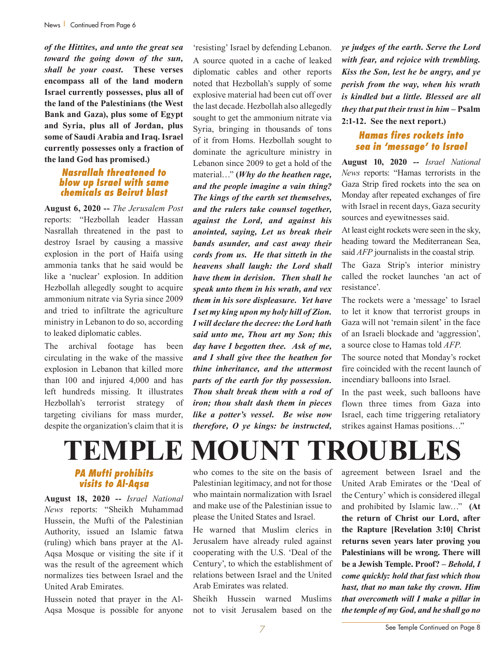*of the Hittites, and unto the great sea toward the going down of the sun, shall be your coast***. These verses encompass all of the land modern Israel currently possesses, plus all of the land of the Palestinians (the West Bank and Gaza), plus some of Egypt and Syria, plus all of Jordan, plus some of Saudi Arabia and Iraq. Israel currently possesses only a fraction of the land God has promised.)**

#### *Nasrallah threatened to blow up Israel with same chemicals as Beirut blast*

**August 6, 2020 --** *The Jerusalem Post* reports: "Hezbollah leader Hassan Nasrallah threatened in the past to destroy Israel by causing a massive explosion in the port of Haifa using ammonia tanks that he said would be like a 'nuclear' explosion. In addition Hezbollah allegedly sought to acquire ammonium nitrate via Syria since 2009 and tried to infiltrate the agriculture ministry in Lebanon to do so, according to leaked diplomatic cables.

The archival footage has been circulating in the wake of the massive explosion in Lebanon that killed more than 100 and injured 4,000 and has left hundreds missing. It illustrates Hezbollah's terrorist strategy of targeting civilians for mass murder, despite the organization's claim that it is

'resisting' Israel by defending Lebanon. A source quoted in a cache of leaked diplomatic cables and other reports noted that Hezbollah's supply of some explosive material had been cut off over the last decade. Hezbollah also allegedly sought to get the ammonium nitrate via Syria, bringing in thousands of tons of it from Homs. Hezbollah sought to dominate the agriculture ministry in Lebanon since 2009 to get a hold of the material…" **(***Why do the heathen rage, and the people imagine a vain thing? The kings of the earth set themselves, and the rulers take counsel together, against the Lord, and against his anointed, saying, Let us break their bands asunder, and cast away their cords from us. He that sitteth in the heavens shall laugh: the Lord shall have them in derision. Then shall he speak unto them in his wrath, and vex them in his sore displeasure. Yet have I set my king upon my holy hill of Zion. I will declare the decree: the Lord hath said unto me, Thou art my Son; this day have I begotten thee. Ask of me, and I shall give thee the heathen for thine inheritance, and the uttermost parts of the earth for thy possession. Thou shalt break them with a rod of iron; thou shalt dash them in pieces like a potter's vessel. Be wise now therefore, O ye kings: be instructed,* 

*ye judges of the earth. Serve the Lord with fear, and rejoice with trembling. Kiss the Son, lest he be angry, and ye perish from the way, when his wrath is kindled but a little. Blessed are all they that put their trust in him* **– Psalm 2:1-12. See the next report.)**

#### *Hamas fires rockets into sea in 'message' to Israel*

**August 10, 2020 --** *Israel National News* reports: "Hamas terrorists in the Gaza Strip fired rockets into the sea on Monday after repeated exchanges of fire with Israel in recent days, Gaza security sources and eyewitnesses said.

At least eight rockets were seen in the sky, heading toward the Mediterranean Sea, said *AFP* journalists in the coastal strip.

The Gaza Strip's interior ministry called the rocket launches 'an act of resistance'.

The rockets were a 'message' to Israel to let it know that terrorist groups in Gaza will not 'remain silent' in the face of an Israeli blockade and 'aggression', a source close to Hamas told *AFP*.

The source noted that Monday's rocket fire coincided with the recent launch of incendiary balloons into Israel.

In the past week, such balloons have flown three times from Gaza into Israel, each time triggering retaliatory strikes against Hamas positions…"

### **TEMPLE MOUNT TROUBLES** *PA Mufti prohibits visits to Al-Aqsa*

**August 18, 2020 --** *Israel National News* reports: "Sheikh Muhammad Hussein, the Mufti of the Palestinian Authority, issued an Islamic fatwa (ruling) which bans prayer at the Al-Aqsa Mosque or visiting the site if it was the result of the agreement which normalizes ties between Israel and the United Arab Emirates.

Hussein noted that prayer in the Al-Aqsa Mosque is possible for anyone who comes to the site on the basis of Palestinian legitimacy, and not for those who maintain normalization with Israel and make use of the Palestinian issue to please the United States and Israel.

He warned that Muslim clerics in Jerusalem have already ruled against cooperating with the U.S. 'Deal of the Century', to which the establishment of relations between Israel and the United Arab Emirates was related.

Sheikh Hussein warned Muslims not to visit Jerusalem based on the agreement between Israel and the United Arab Emirates or the 'Deal of the Century' which is considered illegal and prohibited by Islamic law…" **(At the return of Christ our Lord, after the Rapture [Revelation 3:10] Christ returns seven years later proving you Palestinians will be wrong. There will be a Jewish Temple. Proof? –** *Behold, I come quickly: hold that fast which thou hast, that no man take thy crown. Him that overcometh will I make a pillar in the temple of my God, and he shall go no*